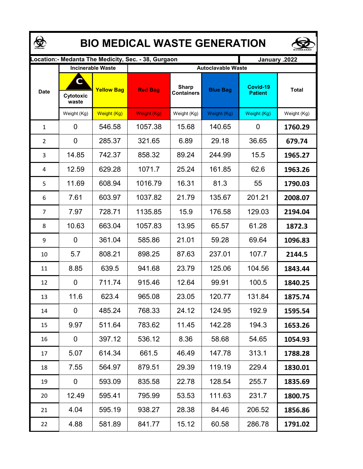| <b>BIO MEDICAL WASTE GENERATION</b> |                         |                                               |                                                     |                                   |                                              |                            |              |  |  |  |  |
|-------------------------------------|-------------------------|-----------------------------------------------|-----------------------------------------------------|-----------------------------------|----------------------------------------------|----------------------------|--------------|--|--|--|--|
|                                     |                         |                                               | Location:- Medanta The Medicity, Sec. - 38, Gurgaon |                                   | January .2022                                |                            |              |  |  |  |  |
| <b>Date</b>                         | C<br>Cytotoxic<br>waste | <b>Incinerable Waste</b><br><b>Yellow Bag</b> | <b>Red Bag</b>                                      | <b>Sharp</b><br><b>Containers</b> | <b>Autoclavable Waste</b><br><b>Blue Bag</b> | Covid-19<br><b>Patient</b> | <b>Total</b> |  |  |  |  |
|                                     | Weight (Kg)             | Weight (Kg)                                   | Weight (Kg)                                         | Weight (Kg)                       | Weight (Kg)                                  | Weight (Kg)                | Weight (Kg)  |  |  |  |  |
| $\mathbf{1}$                        | 0                       | 546.58                                        | 1057.38                                             | 15.68                             | 140.65                                       | 0                          | 1760.29      |  |  |  |  |
| $\overline{2}$                      | 0                       | 285.37                                        | 321.65                                              | 6.89                              | 29.18                                        | 36.65                      | 679.74       |  |  |  |  |
| 3                                   | 14.85                   | 742.37                                        | 858.32                                              | 89.24                             | 244.99                                       | 15.5                       | 1965.27      |  |  |  |  |
| 4                                   | 12.59                   | 629.28                                        | 1071.7                                              | 25.24                             | 161.85                                       | 62.6                       | 1963.26      |  |  |  |  |
| 5                                   | 11.69                   | 608.94                                        | 1016.79                                             | 16.31                             | 81.3                                         | 55                         | 1790.03      |  |  |  |  |
| 6                                   | 7.61                    | 603.97                                        | 1037.82                                             | 21.79                             | 135.67                                       | 201.21                     | 2008.07      |  |  |  |  |
| $\overline{7}$                      | 7.97                    | 728.71                                        | 1135.85                                             | 15.9                              | 176.58                                       | 129.03                     | 2194.04      |  |  |  |  |
| 8                                   | 10.63                   | 663.04                                        | 1057.83                                             | 13.95                             | 65.57                                        | 61.28                      | 1872.3       |  |  |  |  |
| 9                                   | 0                       | 361.04                                        | 585.86                                              | 21.01                             | 59.28                                        | 69.64                      | 1096.83      |  |  |  |  |
| 10                                  | 5.7                     | 808.21                                        | 898.25                                              | 87.63                             | 237.01                                       | 107.7                      | 2144.5       |  |  |  |  |
| 11                                  | 8.85                    | 639.5                                         | 941.68                                              | 23.79                             | 125.06                                       | 104.56                     | 1843.44      |  |  |  |  |
| 12                                  | 0                       | 711.74                                        | 915.46                                              | 12.64                             | 99.91                                        | 100.5                      | 1840.25      |  |  |  |  |
| 13                                  | 11.6                    | 623.4                                         | 965.08                                              | 23.05                             | 120.77                                       | 131.84                     | 1875.74      |  |  |  |  |
| 14                                  | 0                       | 485.24                                        | 768.33                                              | 24.12                             | 124.95                                       | 192.9                      | 1595.54      |  |  |  |  |
| 15                                  | 9.97                    | 511.64                                        | 783.62                                              | 11.45                             | 142.28                                       | 194.3                      | 1653.26      |  |  |  |  |
| 16                                  | 0                       | 397.12                                        | 536.12                                              | 8.36                              | 58.68                                        | 54.65                      | 1054.93      |  |  |  |  |
| 17                                  | 5.07                    | 614.34                                        | 661.5                                               | 46.49                             | 147.78                                       | 313.1                      | 1788.28      |  |  |  |  |
| 18                                  | 7.55                    | 564.97                                        | 879.51                                              | 29.39                             | 119.19                                       | 229.4                      | 1830.01      |  |  |  |  |
| 19                                  | $\mathbf 0$             | 593.09                                        | 835.58                                              | 22.78                             | 128.54                                       | 255.7                      | 1835.69      |  |  |  |  |
| 20                                  | 12.49                   | 595.41                                        | 795.99                                              | 53.53                             | 111.63                                       | 231.7                      | 1800.75      |  |  |  |  |
| 21                                  | 4.04                    | 595.19                                        | 938.27                                              | 28.38                             | 84.46                                        | 206.52                     | 1856.86      |  |  |  |  |
| 22                                  | 4.88                    | 581.89                                        | 841.77                                              | 15.12                             | 60.58                                        | 286.78                     | 1791.02      |  |  |  |  |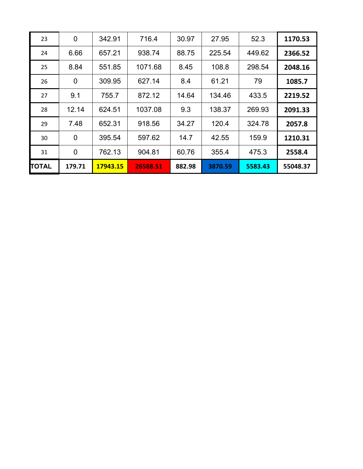| 23           | $\mathbf 0$    | 342.91   | 716.4    | 30.97  | 27.95   | 52.3    | 1170.53  |
|--------------|----------------|----------|----------|--------|---------|---------|----------|
| 24           | 6.66           | 657.21   | 938.74   | 88.75  | 225.54  | 449.62  | 2366.52  |
| 25           | 8.84           | 551.85   | 1071.68  | 8.45   | 108.8   | 298.54  | 2048.16  |
| 26           | $\mathbf 0$    | 309.95   | 627.14   | 8.4    | 61.21   | 79      | 1085.7   |
| 27           | 9.1            | 755.7    | 872.12   | 14.64  | 134.46  | 433.5   | 2219.52  |
| 28           | 12.14          | 624.51   | 1037.08  | 9.3    | 138.37  | 269.93  | 2091.33  |
| 29           | 7.48           | 652.31   | 918.56   | 34.27  | 120.4   | 324.78  | 2057.8   |
| 30           | $\overline{0}$ | 395.54   | 597.62   | 14.7   | 42.55   | 159.9   | 1210.31  |
| 31           | 0              | 762.13   | 904.81   | 60.76  | 355.4   | 475.3   | 2558.4   |
| <b>TOTAL</b> | 179.71         | 17943.15 | 26588.51 | 882.98 | 3870.59 | 5583.43 | 55048.37 |